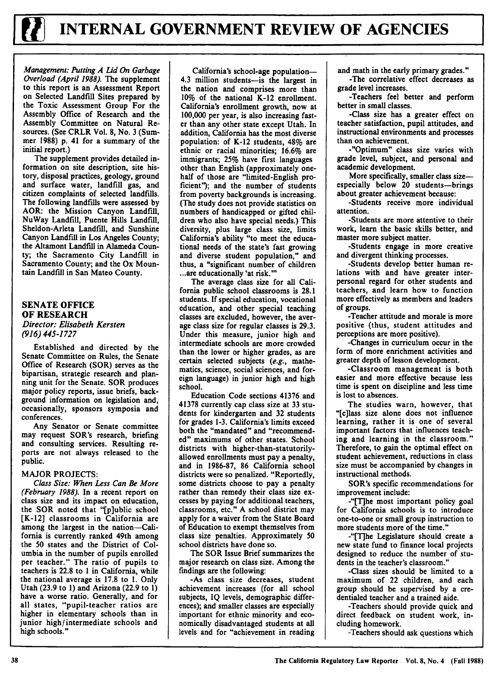

Management: Putting A Lid **On** Garbage Overload *(April 1988).* The supplement to this report is an Assessment Report on Selected Landfill Sites prepared **by** the Toxic Assessment Group For the Assembly Office of Research and the Assembly Committee on Natural Resources. (See CRLR Vol. **8,** No. **3** (Summer **1988) p.** 41 for a summary of the initial report.)

The supplement provides detailed information on site description, site history, disposal practices, geology, ground and surface water, landfill gas, and citizen complaints of selected landfills. The following landfills were assessed **by** AOR: the Mission Canyon Landfill, NuWay Landfill, Puente Hills Landfill, Sheldon-Arleta Landfill, and Sunshine Canyon Landfill in Los Angeles County; the Altamont Landfill in Alameda County; the Sacramento City Landfill in Sacramento County; and the Ox Mountain Landfill in San Mateo County.

## **SENATE OFFICE OF RESEARCH** Director: Elisabeth Kersten

*(916) 445-1727*

Established and directed **by** the Senate Committee on Rules, the Senate Office of Research (SOR) serves as the bipartisan, strategic research and planning unit for the Senate. SOR produces major policy reports, issue briefs, background information on legislation and, occasionally, sponsors symposia and conferences.

Any Senator or Senate committee may request SOR's research, briefing and consulting services. Resulting reports are not always released to the public.

## MAJOR **PROJECTS:**

Class Size: When Less Can Be More (February *1988).* In a recent report on class size and its impact on education, the SOR noted that "[p]ublic school [K-12] classrooms in California are among the largest in the nation-California is currently ranked 49th among the **50** states and the District of Columbia in the number of pupils enrolled per teacher." The ratio of pupils to teachers is **22.8** to **1** in California, while the national average is **17.8** to **1.** Only Utah **(23.9** to **1)** and Arizona **(22.9** to **1)** have a worse ratio. Generally, and for all states, "pupil-teacher ratios are higher in elementary schools than in junior high/intermediate schools and high schools."

California's school-age population-4.3 million students-is the largest in the nation and comprises more than **10%** of the national K-12 enrollment. California's enrollment growth, now at **100,000** per year, is also increasing faster than any other state except Utah. In addition, California has the most diverse population: of K-12 students, 48% are ethnic or racial minorities; **16.6%** are immigrants; **25%** have first languages other than English (approximately onehalf of those are "limited-English proficient"); and the number of students from poverty backgrounds is increasing. (The study does not provide statistics on numbers of handicapped or gifted children who also have special needs.) This diversity, plus large class size, limits California's ability "to meet the educational needs of the state's fast growing and diverse student population," and thus, a "significant number of children **...are** educationally 'at risk."'

The average class size for all California public school classrooms is **28.1** students. **If** special education, vocational education, and other special teaching classes are excluded, however, the average class size for regular classes is **29.3.** Under this measure, junior high and intermediate schools are more crowded than the lower or higher grades, as are certain selected subjects *(e.g.,* mathematics, science, social sciences, and foreign language) in junior high and high school.

Education Code sections **41376** and **41378** currently cap class size at **33** students for kindergarten and **32** students for grades **1-3.** California's limits exceed both the "mandated" and "recommended" maximums of other states. School districts with higher-than-statutorilyallowed enrollments must pay a penalty, and in 1986-87, **86** California school districts were so penalized. "Reportedly, some districts choose to pay a penalty rather than remedy their class size excesses **by** paying for additional teachers, classrooms, etc." **A** school district may apply for a waiver from the State Board of Education to exempt themselves from class size penalties. Approximately **50** school districts have done so.

The SOR Issue Brief summarizes the major research on class size. Among the findings are the following:

-As class size decreases, student achievement increases (for all school subjects, IQ levels, demographic differences); and smaller classes are especially important for ethnic minority and economically disadvantaged students at all levels and for "achievement in reading and math in the early primary grades."

-The correlative effect decreases as grade level increases.

-Teachers feel better and perform better in small classes.

-Class size has a greater effect on teacher satisfaction, pupil attitudes, and instructional environments and processes than on achievement.

-"Optimum" class size varies with grade level, subject, and personal and academic development.

More specifically, smaller class sizeespecially below 20 students-brings about greater achievement because:

-Students receive more individual attention.

-Students are more attentive to their work, learn the basic skills better, and master more subject matter.

-Students engage in more creative and divergent thinking processes.

-Students develop better human relations with and have greater interpersonal regard for other students and teachers, and learn how to function more effectively as members and leaders of groups.

-Teacher attitude and morale is more positive (thus, student attitudes and perceptions are more positive).

-Changes in curriculum occur in the form of more enrichment activities and greater depth of lesson development.

-Classroom management is both easier and more effective because less time is spent on discipline and less time is lost to absences.

The studies warn, however, that "[c]lass size alone does not influence learning, rather it is one of several important factors that influences teaching and learning in the classroom." Therefore, to gain the optimal effect on student achievement, reductions in class size must be accompanied **by** changes in instructional methods.

SOR's specific recommendations for improvement include:

**-"[T]he** most important policy goal for California schools is to introduce one-to-one or small group instruction to more students more of the time."

-"[Tihe Legislature should create a new state fund to finance local projects designed to reduce the number of students in the teacher's classroom."

-Class sizes should be limited to a maximum of 22 children, and each group should be supervised **by** a credentialed teacher and a trained aide.

-Teachers should provide quick and direct feedback on student work, including homework.

-Teachers should ask questions which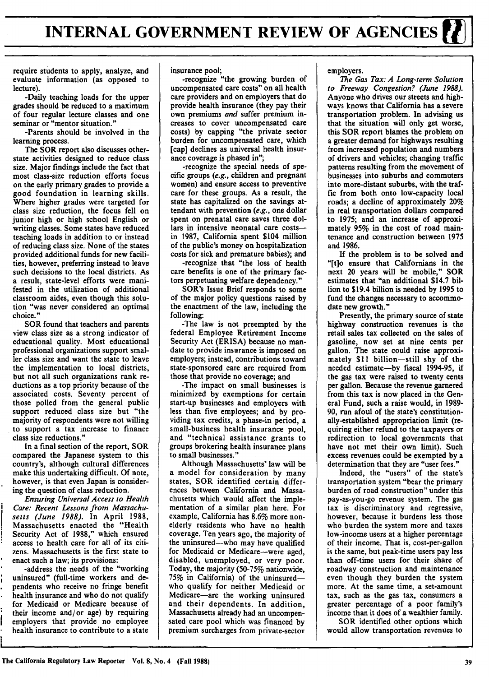require students to apply, analyze, and evaluate information (as opposed to lecture).

-Daily teaching loads for the upper grades should be reduced to a maximum of four regular lecture classes and one seminar or "mentor situation."

-Parents should be involved in the learning process.

The SOR report also discusses otherstate activities designed to reduce class size. Major findings include the fact that most class-size reduction efforts focus on the early primary grades to provide a good foundation in learning skills. Where higher grades were targeted for class size reduction, the focus fell on junior high or high school English or writing classes. Some states have reduced teaching loads in addition to or instead of reducing class size. None of the states provided additional funds for new facilities, however, preferring instead to leave such decisions to the local districts. As a result, state-level efforts were manifested in the utilization of additional classroom aides, even though this solution "was never considered an optimal choice."

SOR found that teachers and parents view class size as a strong indicator of educational quality. Most educational professional organizations support smaller class size and want the state to leave the implementation to local districts, but not all such organizations rank reductions as a top priority because of the associated costs. Seventy percent of those polled from the general public support reduced class size but "the majority of respondents were not willing to support a tax increase to finance class size reductions."

In a final section of the report, SOR compared the Japanese system to this country's, although cultural differences make this undertaking difficult. **Of** note, however, is that even Japan is considering the question of class reduction.

**Ensuring** *Universal Access to Health Care: Recent Lessons from Massachusetts (June 1988).* In April **1988,** Massachusetts enacted the "Health Security Act of **1988,"** which ensured access to health care for all of its citizens. Massachusetts is the first state to enact such a law; its provisions:

-address the needs of the "working uninsured" (full-time workers and dependents who receive no fringe benefit health insurance and who do not qualify for Medicaid or Medicare because of their income and/or age) **by** requiring employers that provide no employee health insurance to contribute to a state insurance pool;

-recognize "the growing burden of uncompensated care costs" on all health care providers and on employers that do provide health insurance (they pay their own premiums *and* suffer premium increases to cover uncompensated care costs) **by** capping "the private sector burden for uncompensated care, which [cap] declines as universal health insurance coverage is phased in",

-recognize the special needs of specific groups *(e.g.,* children and pregnant women) and ensure access to preventive care for these groups. As a result, the state has capitalized on the savings attendant with prevention *(e.g.,* one dollar spent on prenatal care saves three dollars in intensive neonatal care costsin **1987,** California spent \$104 million of the public's money on hospitalization costs for sick and premature babies); and

-recognize that "the loss of health care benefits is one of the primary factors perpetuating welfare dependency."

SOR's Issue Brief responds to some of the major policy questions raised **by** the enactment of the law, including the following:

-The law is not preempted **by** the federal Employee Retirement Income Security Act (ERISA) because no mandate to provide insurance is imposed on employers; instead, contributions toward state-sponsored care are required from those that provide no coverage; and

-The impact on small businesses is minimized **by** exemptions for certain start-up businesses and employers with less than five employees; and **by** providing tax credits, a phase-in period, a small-business health insurance pool, and "technical assistance grants to groups brokering health insurance plans to small businesses."

Although Massachusetts' law will be a model for consideration **by** many states, SOR identified certain differences between California and Massachusetts which would affect the implementation of a similar plan here. For example, California has **8.6%** more nonelderly residents who have no health coverage. Ten years ago, the majority of the uninsured-who may have qualified for Medicaid or Medicare-were aged, disabled, unemployed, or very poor. Today, the majority **(50-75%** nationwide, **75%** in California) of the uninsuredwho qualify for neither Medicaid or Medicare-are the working uninsured and their dependents. In addition, Massachusetts already had an uncompensated care pool which was financed **by** premium surcharges from private-sector

employers.

*The Gas Tax: A Long-term Solution to Freeway Congestion? (June 1988).* Anyone who drives our streets and highways knows that California has a severe transportation problem. In advising us that the situation will only get worse, this SOR report blames the problem on a greater demand for highways resulting from increased population and numbers **of** drivers and vehicles; changing traffic patterns resulting from the movement of businesses into suburbs and commuters into more-distant suburbs, with the traffic from both onto low-capacity local roads; a decline of approximately 20% in real transportation dollars compared to **1975;** and an increase of approximately 95% in the cost of road maintenance and construction between **1975** and **1986.**

If the problem is to be solved and **"[t]o** ensure that Californians in the next 20 years will be mobile," SOR estimates that "an additional \$14.7 billion to \$19.4 billion is needed **by 1995** to fund the changes necessary to accommodate new growth."

Presently, the primary source of state highway construction revenues is the retail sales tax collected on the sales of gasoline, now set at nine cents per gallon. The state could raise approximately **\$11** billion-still shy of the needed estimate-by fiscal **1994-95,** if the gas tax were raised to twenty cents per gallon. Because the revenue garnered from this tax is now placed in the General Fund, such a raise would, in **1989- 90,** run afoul of the state's constitutionally-established appropriation limit (requiring either refund to the taxpayers or redirection to local governments that have not met their own limit). Such excess revenues could be exempted **by** a determination that they are "user fees."

Indeed, the "users" of the state's transportation system "bear the primary burden of road construction" under this pay-as-you-go revenue system. The gas tax is discriminatory and regressive, however, because it burdens less those who burden the system more and taxes low-income users at a higher percentage of their income. That is, cost-per-gallon is the same, but peak-time users pay less than off-time users for their share of roadway construction and maintenance even though they burden the system more. At the same time, a set-amount tax, such as the gas tax, consumers a greater percentage of a poor family's income than it does of a wealthier family.

SOR identified other options which would allow transportation revenues to